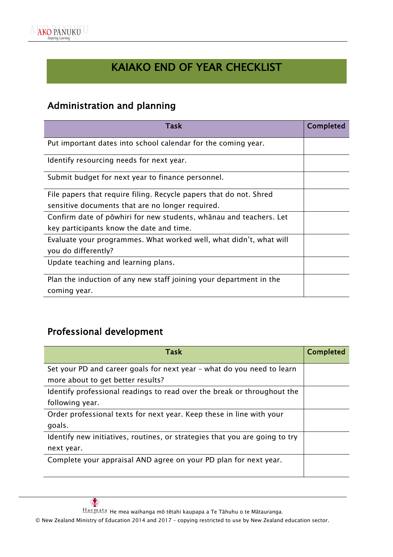

# KAIAKO END OF YEAR CHECKLIST

#### Administration and planning

| <b>Task</b>                                                        | <b>Completed</b> |
|--------------------------------------------------------------------|------------------|
| Put important dates into school calendar for the coming year.      |                  |
| Identify resourcing needs for next year.                           |                  |
| Submit budget for next year to finance personnel.                  |                  |
| File papers that require filing. Recycle papers that do not. Shred |                  |
| sensitive documents that are no longer required.                   |                  |
| Confirm date of powhiri for new students, whanau and teachers. Let |                  |
| key participants know the date and time.                           |                  |
| Evaluate your programmes. What worked well, what didn't, what will |                  |
| you do differently?                                                |                  |
| Update teaching and learning plans.                                |                  |
| Plan the induction of any new staff joining your department in the |                  |
| coming year.                                                       |                  |

## Professional development

| <b>Task</b>                                                                 | <b>Completed</b> |
|-----------------------------------------------------------------------------|------------------|
| Set your PD and career goals for next year - what do you need to learn      |                  |
| more about to get better results?                                           |                  |
| Identify professional readings to read over the break or throughout the     |                  |
| following year.                                                             |                  |
| Order professional texts for next year. Keep these in line with your        |                  |
| goals.                                                                      |                  |
| Identify new initiatives, routines, or strategies that you are going to try |                  |
| next year.                                                                  |                  |
| Complete your appraisal AND agree on your PD plan for next year.            |                  |
|                                                                             |                  |

 $\frac{\text{Haemata}^{\cdots}}{\text{Haemata}^{\cdots}}$ He mea waihanga mō tētahi kaupapa a Te Tāhuhu o te Mātauranga.

© New Zealand Ministry of Education 2014 and 2017 – copying restricted to use by New Zealand education sector.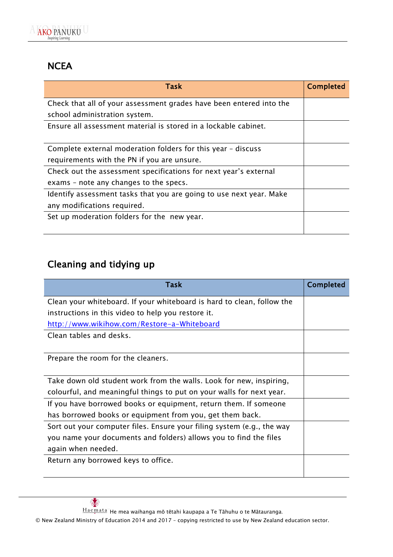

#### **NCEA**

| <b>Task</b>                                                         | <b>Completed</b> |
|---------------------------------------------------------------------|------------------|
| Check that all of your assessment grades have been entered into the |                  |
| school administration system.                                       |                  |
| Ensure all assessment material is stored in a lockable cabinet.     |                  |
|                                                                     |                  |
| Complete external moderation folders for this year - discuss        |                  |
| requirements with the PN if you are unsure.                         |                  |
| Check out the assessment specifications for next year's external    |                  |
| exams – note any changes to the specs.                              |                  |
| Identify assessment tasks that you are going to use next year. Make |                  |
| any modifications required.                                         |                  |
| Set up moderation folders for the new year.                         |                  |
|                                                                     |                  |

## Cleaning and tidying up

| <b>Task</b>                                                            | <b>Completed</b> |
|------------------------------------------------------------------------|------------------|
| Clean your whiteboard. If your whiteboard is hard to clean, follow the |                  |
| instructions in this video to help you restore it.                     |                  |
| http://www.wikihow.com/Restore-a-Whiteboard                            |                  |
| Clean tables and desks.                                                |                  |
|                                                                        |                  |
| Prepare the room for the cleaners.                                     |                  |
|                                                                        |                  |
| Take down old student work from the walls. Look for new, inspiring,    |                  |
| colourful, and meaningful things to put on your walls for next year.   |                  |
| If you have borrowed books or equipment, return them. If someone       |                  |
| has borrowed books or equipment from you, get them back.               |                  |
| Sort out your computer files. Ensure your filing system (e.g., the way |                  |
| you name your documents and folders) allows you to find the files      |                  |
| again when needed.                                                     |                  |
| Return any borrowed keys to office.                                    |                  |
|                                                                        |                  |